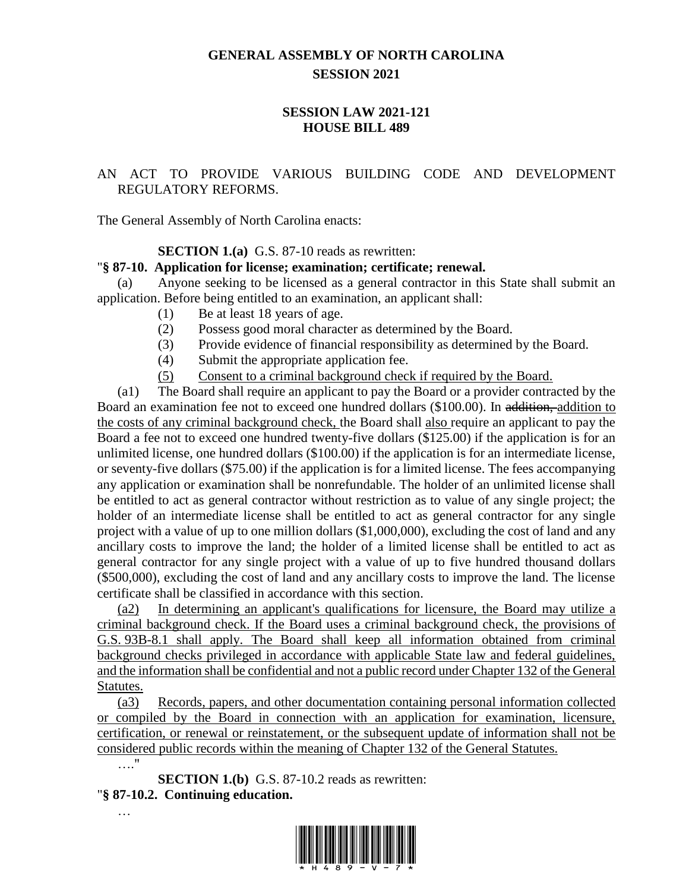## **GENERAL ASSEMBLY OF NORTH CAROLINA SESSION 2021**

## **SESSION LAW 2021-121 HOUSE BILL 489**

## AN ACT TO PROVIDE VARIOUS BUILDING CODE AND DEVELOPMENT REGULATORY REFORMS.

The General Assembly of North Carolina enacts:

**SECTION 1.(a)** G.S. 87-10 reads as rewritten:

#### "**§ 87-10. Application for license; examination; certificate; renewal.**

(a) Anyone seeking to be licensed as a general contractor in this State shall submit an application. Before being entitled to an examination, an applicant shall:

- (1) Be at least 18 years of age.
- (2) Possess good moral character as determined by the Board.
- (3) Provide evidence of financial responsibility as determined by the Board.
- (4) Submit the appropriate application fee.
- (5) Consent to a criminal background check if required by the Board.

(a1) The Board shall require an applicant to pay the Board or a provider contracted by the Board an examination fee not to exceed one hundred dollars (\$100.00). In addition, addition to the costs of any criminal background check, the Board shall also require an applicant to pay the Board a fee not to exceed one hundred twenty-five dollars (\$125.00) if the application is for an unlimited license, one hundred dollars (\$100.00) if the application is for an intermediate license, or seventy-five dollars (\$75.00) if the application is for a limited license. The fees accompanying any application or examination shall be nonrefundable. The holder of an unlimited license shall be entitled to act as general contractor without restriction as to value of any single project; the holder of an intermediate license shall be entitled to act as general contractor for any single project with a value of up to one million dollars (\$1,000,000), excluding the cost of land and any ancillary costs to improve the land; the holder of a limited license shall be entitled to act as general contractor for any single project with a value of up to five hundred thousand dollars (\$500,000), excluding the cost of land and any ancillary costs to improve the land. The license certificate shall be classified in accordance with this section.

(a2) In determining an applicant's qualifications for licensure, the Board may utilize a criminal background check. If the Board uses a criminal background check, the provisions of G.S. 93B-8.1 shall apply. The Board shall keep all information obtained from criminal background checks privileged in accordance with applicable State law and federal guidelines, and the information shall be confidential and not a public record under Chapter 132 of the General Statutes.

(a3) Records, papers, and other documentation containing personal information collected or compiled by the Board in connection with an application for examination, licensure, certification, or renewal or reinstatement, or the subsequent update of information shall not be considered public records within the meaning of Chapter 132 of the General Statutes. …."

**SECTION 1.(b)** G.S. 87-10.2 reads as rewritten: "**§ 87-10.2. Continuing education.**

…

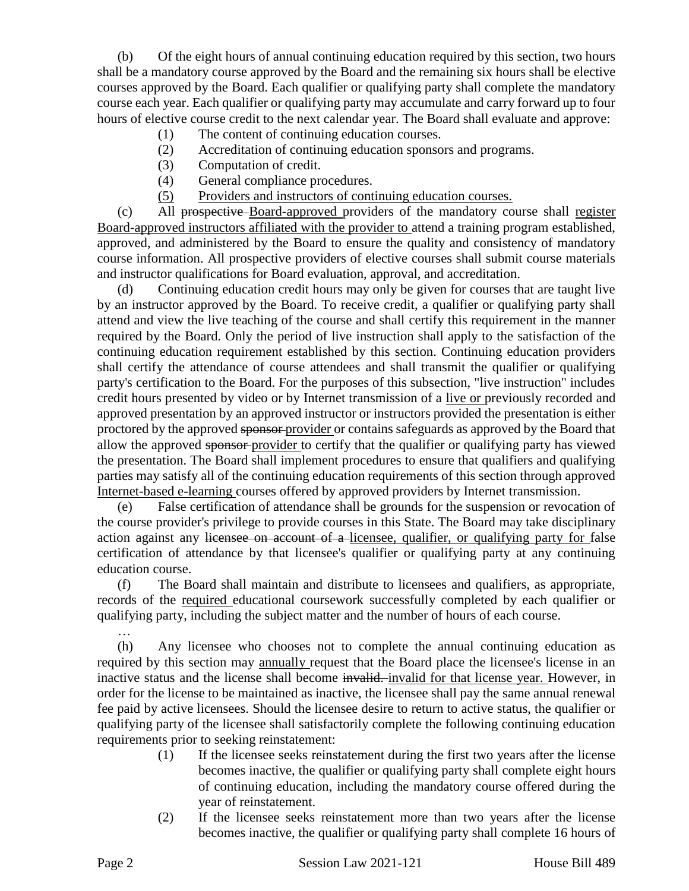(b) Of the eight hours of annual continuing education required by this section, two hours shall be a mandatory course approved by the Board and the remaining six hours shall be elective courses approved by the Board. Each qualifier or qualifying party shall complete the mandatory course each year. Each qualifier or qualifying party may accumulate and carry forward up to four hours of elective course credit to the next calendar year. The Board shall evaluate and approve:

- (1) The content of continuing education courses.
- (2) Accreditation of continuing education sponsors and programs.
- (3) Computation of credit.
- (4) General compliance procedures.
- (5) Providers and instructors of continuing education courses.

(c) All prospective Board-approved providers of the mandatory course shall register Board-approved instructors affiliated with the provider to attend a training program established, approved, and administered by the Board to ensure the quality and consistency of mandatory course information. All prospective providers of elective courses shall submit course materials and instructor qualifications for Board evaluation, approval, and accreditation.

(d) Continuing education credit hours may only be given for courses that are taught live by an instructor approved by the Board. To receive credit, a qualifier or qualifying party shall attend and view the live teaching of the course and shall certify this requirement in the manner required by the Board. Only the period of live instruction shall apply to the satisfaction of the continuing education requirement established by this section. Continuing education providers shall certify the attendance of course attendees and shall transmit the qualifier or qualifying party's certification to the Board. For the purposes of this subsection, "live instruction" includes credit hours presented by video or by Internet transmission of a live or previously recorded and approved presentation by an approved instructor or instructors provided the presentation is either proctored by the approved sponsor provider or contains safeguards as approved by the Board that allow the approved sponsor provider to certify that the qualifier or qualifying party has viewed the presentation. The Board shall implement procedures to ensure that qualifiers and qualifying parties may satisfy all of the continuing education requirements of this section through approved Internet-based e-learning courses offered by approved providers by Internet transmission.

(e) False certification of attendance shall be grounds for the suspension or revocation of the course provider's privilege to provide courses in this State. The Board may take disciplinary action against any licensee on account of a licensee, qualifier, or qualifying party for false certification of attendance by that licensee's qualifier or qualifying party at any continuing education course.

(f) The Board shall maintain and distribute to licensees and qualifiers, as appropriate, records of the required educational coursework successfully completed by each qualifier or qualifying party, including the subject matter and the number of hours of each course.

(h) Any licensee who chooses not to complete the annual continuing education as required by this section may annually request that the Board place the licensee's license in an inactive status and the license shall become invalid. invalid for that license year. However, in order for the license to be maintained as inactive, the licensee shall pay the same annual renewal fee paid by active licensees. Should the licensee desire to return to active status, the qualifier or qualifying party of the licensee shall satisfactorily complete the following continuing education requirements prior to seeking reinstatement:

- (1) If the licensee seeks reinstatement during the first two years after the license becomes inactive, the qualifier or qualifying party shall complete eight hours of continuing education, including the mandatory course offered during the year of reinstatement.
- (2) If the licensee seeks reinstatement more than two years after the license becomes inactive, the qualifier or qualifying party shall complete 16 hours of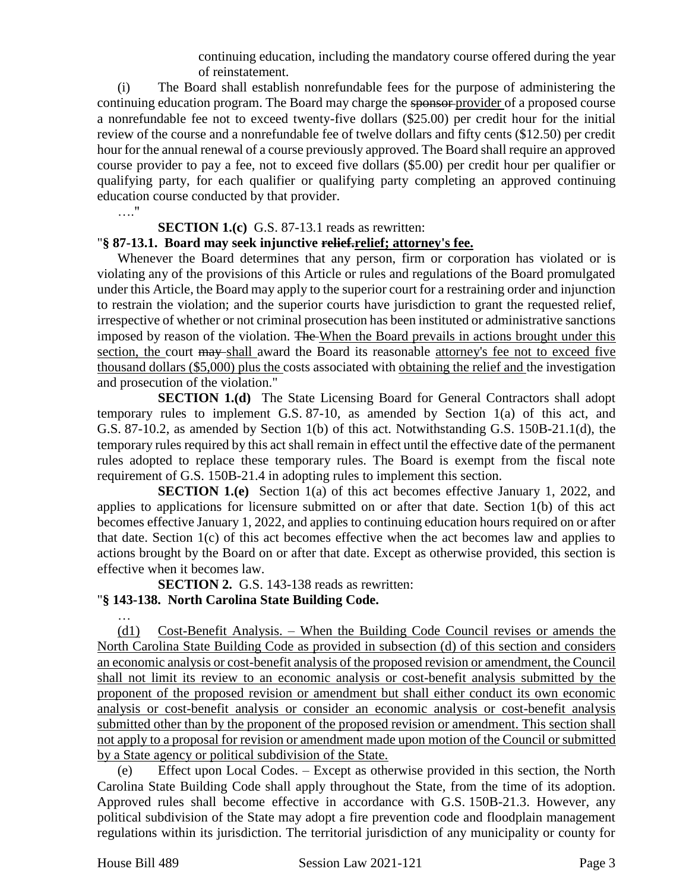continuing education, including the mandatory course offered during the year of reinstatement.

(i) The Board shall establish nonrefundable fees for the purpose of administering the continuing education program. The Board may charge the sponsor provider of a proposed course a nonrefundable fee not to exceed twenty-five dollars (\$25.00) per credit hour for the initial review of the course and a nonrefundable fee of twelve dollars and fifty cents (\$12.50) per credit hour for the annual renewal of a course previously approved. The Board shall require an approved course provider to pay a fee, not to exceed five dollars (\$5.00) per credit hour per qualifier or qualifying party, for each qualifier or qualifying party completing an approved continuing education course conducted by that provider.

…."

#### **SECTION 1.(c)** G.S. 87-13.1 reads as rewritten:

#### "**§ 87-13.1. Board may seek injunctive relief.relief; attorney's fee.**

Whenever the Board determines that any person, firm or corporation has violated or is violating any of the provisions of this Article or rules and regulations of the Board promulgated under this Article, the Board may apply to the superior court for a restraining order and injunction to restrain the violation; and the superior courts have jurisdiction to grant the requested relief, irrespective of whether or not criminal prosecution has been instituted or administrative sanctions imposed by reason of the violation. The When the Board prevails in actions brought under this section, the court may shall award the Board its reasonable attorney's fee not to exceed five thousand dollars (\$5,000) plus the costs associated with obtaining the relief and the investigation and prosecution of the violation."

**SECTION 1.(d)** The State Licensing Board for General Contractors shall adopt temporary rules to implement G.S. 87-10, as amended by Section 1(a) of this act, and G.S. 87-10.2, as amended by Section 1(b) of this act. Notwithstanding G.S. 150B-21.1(d), the temporary rules required by this act shall remain in effect until the effective date of the permanent rules adopted to replace these temporary rules. The Board is exempt from the fiscal note requirement of G.S. 150B-21.4 in adopting rules to implement this section.

**SECTION 1.(e)** Section 1(a) of this act becomes effective January 1, 2022, and applies to applications for licensure submitted on or after that date. Section 1(b) of this act becomes effective January 1, 2022, and applies to continuing education hours required on or after that date. Section 1(c) of this act becomes effective when the act becomes law and applies to actions brought by the Board on or after that date. Except as otherwise provided, this section is effective when it becomes law.

**SECTION 2.** G.S. 143-138 reads as rewritten: "**§ 143-138. North Carolina State Building Code.**

… (d1) Cost-Benefit Analysis. – When the Building Code Council revises or amends the North Carolina State Building Code as provided in subsection (d) of this section and considers an economic analysis or cost-benefit analysis of the proposed revision or amendment, the Council shall not limit its review to an economic analysis or cost-benefit analysis submitted by the proponent of the proposed revision or amendment but shall either conduct its own economic analysis or cost-benefit analysis or consider an economic analysis or cost-benefit analysis submitted other than by the proponent of the proposed revision or amendment. This section shall not apply to a proposal for revision or amendment made upon motion of the Council or submitted by a State agency or political subdivision of the State.

(e) Effect upon Local Codes. – Except as otherwise provided in this section, the North Carolina State Building Code shall apply throughout the State, from the time of its adoption. Approved rules shall become effective in accordance with G.S. 150B-21.3. However, any political subdivision of the State may adopt a fire prevention code and floodplain management regulations within its jurisdiction. The territorial jurisdiction of any municipality or county for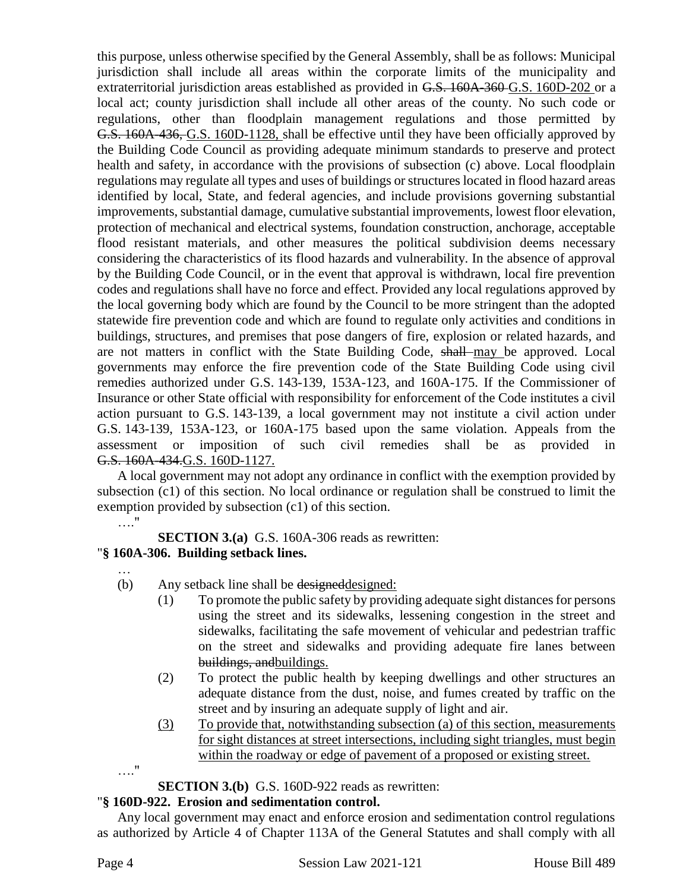this purpose, unless otherwise specified by the General Assembly, shall be as follows: Municipal jurisdiction shall include all areas within the corporate limits of the municipality and extraterritorial jurisdiction areas established as provided in G.S. 160A-360 G.S. 160D-202 or a local act; county jurisdiction shall include all other areas of the county. No such code or regulations, other than floodplain management regulations and those permitted by G.S. 160A-436, G.S. 160D-1128, shall be effective until they have been officially approved by the Building Code Council as providing adequate minimum standards to preserve and protect health and safety, in accordance with the provisions of subsection (c) above. Local floodplain regulations may regulate all types and uses of buildings or structures located in flood hazard areas identified by local, State, and federal agencies, and include provisions governing substantial improvements, substantial damage, cumulative substantial improvements, lowest floor elevation, protection of mechanical and electrical systems, foundation construction, anchorage, acceptable flood resistant materials, and other measures the political subdivision deems necessary considering the characteristics of its flood hazards and vulnerability. In the absence of approval by the Building Code Council, or in the event that approval is withdrawn, local fire prevention codes and regulations shall have no force and effect. Provided any local regulations approved by the local governing body which are found by the Council to be more stringent than the adopted statewide fire prevention code and which are found to regulate only activities and conditions in buildings, structures, and premises that pose dangers of fire, explosion or related hazards, and are not matters in conflict with the State Building Code, shall may be approved. Local governments may enforce the fire prevention code of the State Building Code using civil remedies authorized under G.S. 143-139, 153A-123, and 160A-175. If the Commissioner of Insurance or other State official with responsibility for enforcement of the Code institutes a civil action pursuant to G.S. 143-139, a local government may not institute a civil action under G.S. 143-139, 153A-123, or 160A-175 based upon the same violation. Appeals from the assessment or imposition of such civil remedies shall be as provided in G.S. 160A-434.G.S. 160D-1127.

A local government may not adopt any ordinance in conflict with the exemption provided by subsection (c1) of this section. No local ordinance or regulation shall be construed to limit the exemption provided by subsection (c1) of this section.

…."

…

**SECTION 3.(a)** G.S. 160A-306 reads as rewritten:

## "**§ 160A-306. Building setback lines.**

- (b) Any setback line shall be designed designed:
	- (1) To promote the public safety by providing adequate sight distances for persons using the street and its sidewalks, lessening congestion in the street and sidewalks, facilitating the safe movement of vehicular and pedestrian traffic on the street and sidewalks and providing adequate fire lanes between buildings, andbuildings.
	- (2) To protect the public health by keeping dwellings and other structures an adequate distance from the dust, noise, and fumes created by traffic on the street and by insuring an adequate supply of light and air.
	- (3) To provide that, notwithstanding subsection (a) of this section, measurements for sight distances at street intersections, including sight triangles, must begin within the roadway or edge of pavement of a proposed or existing street.
- …."

**SECTION 3.(b)** G.S. 160D-922 reads as rewritten:

# "**§ 160D-922. Erosion and sedimentation control.**

Any local government may enact and enforce erosion and sedimentation control regulations as authorized by Article 4 of Chapter 113A of the General Statutes and shall comply with all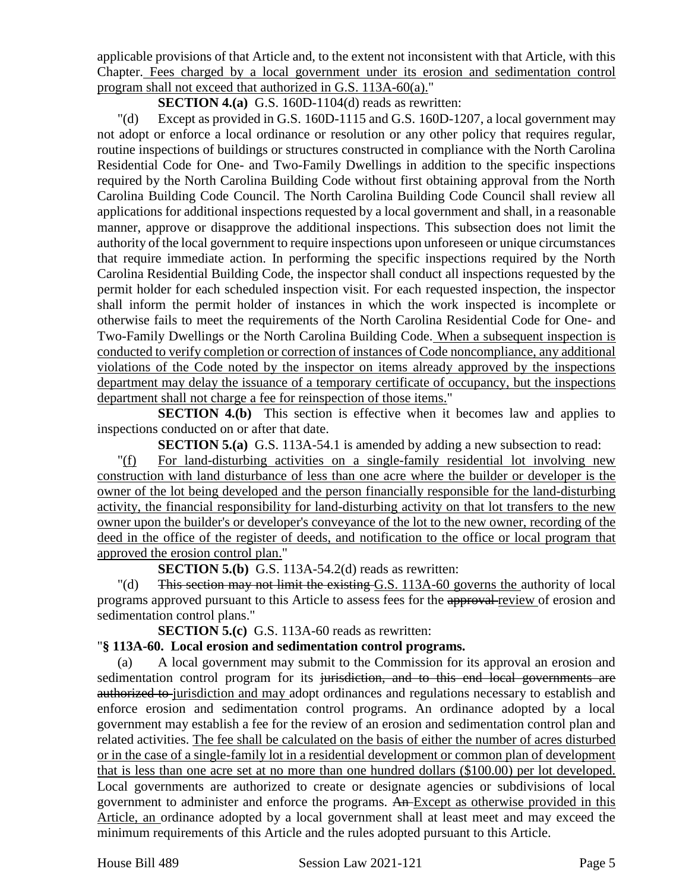applicable provisions of that Article and, to the extent not inconsistent with that Article, with this Chapter. Fees charged by a local government under its erosion and sedimentation control program shall not exceed that authorized in G.S. 113A-60(a)."

**SECTION 4.(a)** G.S. 160D-1104(d) reads as rewritten:

"(d) Except as provided in G.S. 160D-1115 and G.S. 160D-1207, a local government may not adopt or enforce a local ordinance or resolution or any other policy that requires regular, routine inspections of buildings or structures constructed in compliance with the North Carolina Residential Code for One- and Two-Family Dwellings in addition to the specific inspections required by the North Carolina Building Code without first obtaining approval from the North Carolina Building Code Council. The North Carolina Building Code Council shall review all applications for additional inspections requested by a local government and shall, in a reasonable manner, approve or disapprove the additional inspections. This subsection does not limit the authority of the local government to require inspections upon unforeseen or unique circumstances that require immediate action. In performing the specific inspections required by the North Carolina Residential Building Code, the inspector shall conduct all inspections requested by the permit holder for each scheduled inspection visit. For each requested inspection, the inspector shall inform the permit holder of instances in which the work inspected is incomplete or otherwise fails to meet the requirements of the North Carolina Residential Code for One- and Two-Family Dwellings or the North Carolina Building Code. When a subsequent inspection is conducted to verify completion or correction of instances of Code noncompliance, any additional violations of the Code noted by the inspector on items already approved by the inspections department may delay the issuance of a temporary certificate of occupancy, but the inspections department shall not charge a fee for reinspection of those items."

**SECTION 4.(b)** This section is effective when it becomes law and applies to inspections conducted on or after that date.

**SECTION 5.(a)** G.S. 113A-54.1 is amended by adding a new subsection to read:

"(f) For land-disturbing activities on a single-family residential lot involving new construction with land disturbance of less than one acre where the builder or developer is the owner of the lot being developed and the person financially responsible for the land-disturbing activity, the financial responsibility for land-disturbing activity on that lot transfers to the new owner upon the builder's or developer's conveyance of the lot to the new owner, recording of the deed in the office of the register of deeds, and notification to the office or local program that approved the erosion control plan."

**SECTION 5.(b)** G.S. 113A-54.2(d) reads as rewritten:

"(d) This section may not limit the existing G.S. 113A-60 governs the authority of local programs approved pursuant to this Article to assess fees for the approval review of erosion and sedimentation control plans."

**SECTION 5.(c)** G.S. 113A-60 reads as rewritten:

## "**§ 113A-60. Local erosion and sedimentation control programs.**

(a) A local government may submit to the Commission for its approval an erosion and sedimentation control program for its jurisdiction, and to this end local governments are authorized to jurisdiction and may adopt ordinances and regulations necessary to establish and enforce erosion and sedimentation control programs. An ordinance adopted by a local government may establish a fee for the review of an erosion and sedimentation control plan and related activities. The fee shall be calculated on the basis of either the number of acres disturbed or in the case of a single-family lot in a residential development or common plan of development that is less than one acre set at no more than one hundred dollars (\$100.00) per lot developed. Local governments are authorized to create or designate agencies or subdivisions of local government to administer and enforce the programs. An Except as otherwise provided in this Article, an ordinance adopted by a local government shall at least meet and may exceed the minimum requirements of this Article and the rules adopted pursuant to this Article.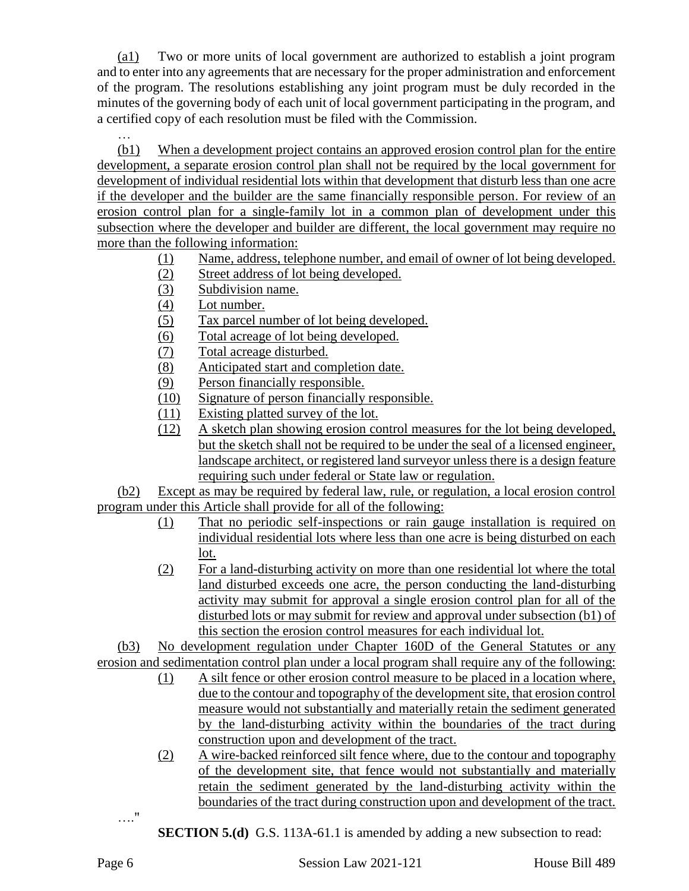(a1) Two or more units of local government are authorized to establish a joint program and to enter into any agreements that are necessary for the proper administration and enforcement of the program. The resolutions establishing any joint program must be duly recorded in the minutes of the governing body of each unit of local government participating in the program, and a certified copy of each resolution must be filed with the Commission.

(b1) When a development project contains an approved erosion control plan for the entire development, a separate erosion control plan shall not be required by the local government for development of individual residential lots within that development that disturb less than one acre if the developer and the builder are the same financially responsible person. For review of an erosion control plan for a single-family lot in a common plan of development under this subsection where the developer and builder are different, the local government may require no more than the following information:

- (1) Name, address, telephone number, and email of owner of lot being developed.
- (2) Street address of lot being developed.
- (3) Subdivision name.
- (4) Lot number.
- (5) Tax parcel number of lot being developed.
- (6) Total acreage of lot being developed.
- (7) Total acreage disturbed.
- (8) Anticipated start and completion date.
- (9) Person financially responsible.
- (10) Signature of person financially responsible.
- (11) Existing platted survey of the lot.
- (12) A sketch plan showing erosion control measures for the lot being developed, but the sketch shall not be required to be under the seal of a licensed engineer, landscape architect, or registered land surveyor unless there is a design feature requiring such under federal or State law or regulation.

(b2) Except as may be required by federal law, rule, or regulation, a local erosion control program under this Article shall provide for all of the following:

- (1) That no periodic self-inspections or rain gauge installation is required on individual residential lots where less than one acre is being disturbed on each lot.
- (2) For a land-disturbing activity on more than one residential lot where the total land disturbed exceeds one acre, the person conducting the land-disturbing activity may submit for approval a single erosion control plan for all of the disturbed lots or may submit for review and approval under subsection (b1) of this section the erosion control measures for each individual lot.

(b3) No development regulation under Chapter 160D of the General Statutes or any erosion and sedimentation control plan under a local program shall require any of the following:

- (1) A silt fence or other erosion control measure to be placed in a location where, due to the contour and topography of the development site, that erosion control measure would not substantially and materially retain the sediment generated by the land-disturbing activity within the boundaries of the tract during construction upon and development of the tract.
- (2) A wire-backed reinforced silt fence where, due to the contour and topography of the development site, that fence would not substantially and materially retain the sediment generated by the land-disturbing activity within the boundaries of the tract during construction upon and development of the tract.
- …."
- **SECTION 5.(d)** G.S. 113A-61.1 is amended by adding a new subsection to read: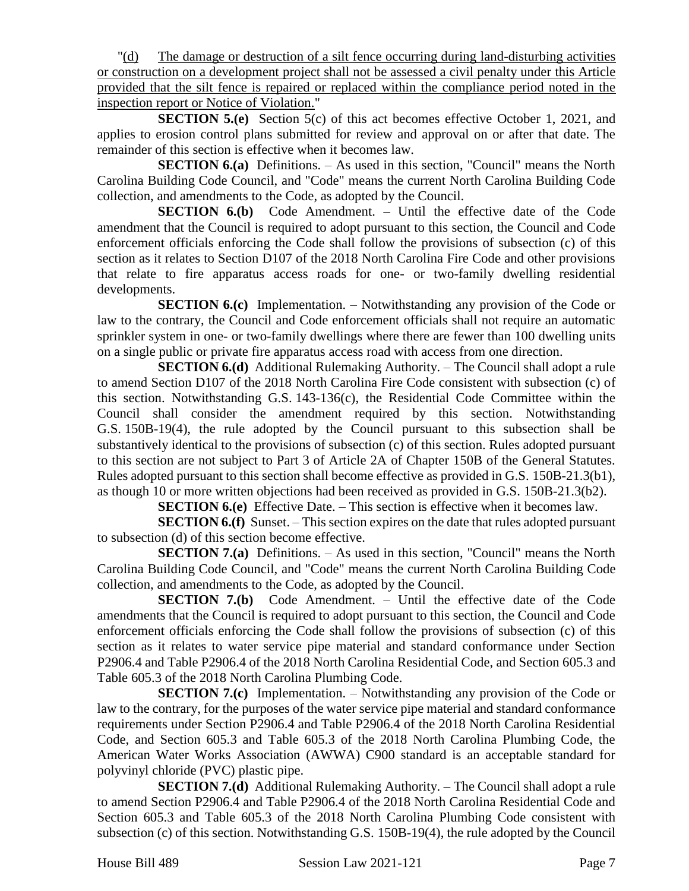"(d) The damage or destruction of a silt fence occurring during land-disturbing activities or construction on a development project shall not be assessed a civil penalty under this Article provided that the silt fence is repaired or replaced within the compliance period noted in the inspection report or Notice of Violation."

**SECTION 5.(e)** Section 5(c) of this act becomes effective October 1, 2021, and applies to erosion control plans submitted for review and approval on or after that date. The remainder of this section is effective when it becomes law.

**SECTION 6.(a)** Definitions. – As used in this section, "Council" means the North Carolina Building Code Council, and "Code" means the current North Carolina Building Code collection, and amendments to the Code, as adopted by the Council.

**SECTION 6.(b)** Code Amendment. – Until the effective date of the Code amendment that the Council is required to adopt pursuant to this section, the Council and Code enforcement officials enforcing the Code shall follow the provisions of subsection (c) of this section as it relates to Section D107 of the 2018 North Carolina Fire Code and other provisions that relate to fire apparatus access roads for one- or two-family dwelling residential developments.

**SECTION 6.(c)** Implementation. – Notwithstanding any provision of the Code or law to the contrary, the Council and Code enforcement officials shall not require an automatic sprinkler system in one- or two-family dwellings where there are fewer than 100 dwelling units on a single public or private fire apparatus access road with access from one direction.

**SECTION 6.(d)** Additional Rulemaking Authority. – The Council shall adopt a rule to amend Section D107 of the 2018 North Carolina Fire Code consistent with subsection (c) of this section. Notwithstanding G.S. 143-136(c), the Residential Code Committee within the Council shall consider the amendment required by this section. Notwithstanding G.S. 150B-19(4), the rule adopted by the Council pursuant to this subsection shall be substantively identical to the provisions of subsection (c) of this section. Rules adopted pursuant to this section are not subject to Part 3 of Article 2A of Chapter 150B of the General Statutes. Rules adopted pursuant to this section shall become effective as provided in G.S. 150B-21.3(b1), as though 10 or more written objections had been received as provided in G.S. 150B-21.3(b2).

**SECTION 6.(e)** Effective Date. – This section is effective when it becomes law.

**SECTION 6.(f)** Sunset. – This section expires on the date that rules adopted pursuant to subsection (d) of this section become effective.

**SECTION 7.(a)** Definitions. – As used in this section, "Council" means the North Carolina Building Code Council, and "Code" means the current North Carolina Building Code collection, and amendments to the Code, as adopted by the Council.

**SECTION 7.(b)** Code Amendment. – Until the effective date of the Code amendments that the Council is required to adopt pursuant to this section, the Council and Code enforcement officials enforcing the Code shall follow the provisions of subsection (c) of this section as it relates to water service pipe material and standard conformance under Section P2906.4 and Table P2906.4 of the 2018 North Carolina Residential Code, and Section 605.3 and Table 605.3 of the 2018 North Carolina Plumbing Code.

**SECTION 7.(c)** Implementation. – Notwithstanding any provision of the Code or law to the contrary, for the purposes of the water service pipe material and standard conformance requirements under Section P2906.4 and Table P2906.4 of the 2018 North Carolina Residential Code, and Section 605.3 and Table 605.3 of the 2018 North Carolina Plumbing Code, the American Water Works Association (AWWA) C900 standard is an acceptable standard for polyvinyl chloride (PVC) plastic pipe.

**SECTION 7.(d)** Additional Rulemaking Authority. – The Council shall adopt a rule to amend Section P2906.4 and Table P2906.4 of the 2018 North Carolina Residential Code and Section 605.3 and Table 605.3 of the 2018 North Carolina Plumbing Code consistent with subsection (c) of this section. Notwithstanding G.S. 150B-19(4), the rule adopted by the Council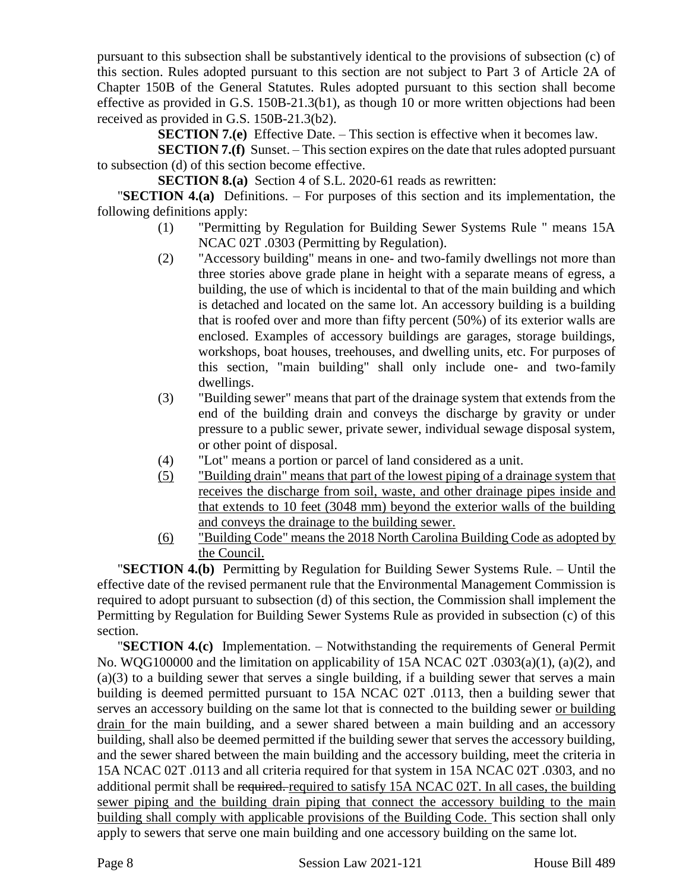pursuant to this subsection shall be substantively identical to the provisions of subsection (c) of this section. Rules adopted pursuant to this section are not subject to Part 3 of Article 2A of Chapter 150B of the General Statutes. Rules adopted pursuant to this section shall become effective as provided in G.S. 150B-21.3(b1), as though 10 or more written objections had been received as provided in G.S. 150B-21.3(b2).

**SECTION 7.(e)** Effective Date. – This section is effective when it becomes law.

**SECTION 7.(f)** Sunset. – This section expires on the date that rules adopted pursuant to subsection (d) of this section become effective.

**SECTION 8.(a)** Section 4 of S.L. 2020-61 reads as rewritten:

"**SECTION 4.(a)** Definitions. – For purposes of this section and its implementation, the following definitions apply:

- (1) "Permitting by Regulation for Building Sewer Systems Rule " means 15A NCAC 02T .0303 (Permitting by Regulation).
- (2) "Accessory building" means in one- and two-family dwellings not more than three stories above grade plane in height with a separate means of egress, a building, the use of which is incidental to that of the main building and which is detached and located on the same lot. An accessory building is a building that is roofed over and more than fifty percent (50%) of its exterior walls are enclosed. Examples of accessory buildings are garages, storage buildings, workshops, boat houses, treehouses, and dwelling units, etc. For purposes of this section, "main building" shall only include one- and two-family dwellings.
- (3) "Building sewer" means that part of the drainage system that extends from the end of the building drain and conveys the discharge by gravity or under pressure to a public sewer, private sewer, individual sewage disposal system, or other point of disposal.
- (4) "Lot" means a portion or parcel of land considered as a unit.
- (5) "Building drain" means that part of the lowest piping of a drainage system that receives the discharge from soil, waste, and other drainage pipes inside and that extends to 10 feet (3048 mm) beyond the exterior walls of the building and conveys the drainage to the building sewer.
- (6) "Building Code" means the 2018 North Carolina Building Code as adopted by the Council.

"**SECTION 4.(b)** Permitting by Regulation for Building Sewer Systems Rule. – Until the effective date of the revised permanent rule that the Environmental Management Commission is required to adopt pursuant to subsection (d) of this section, the Commission shall implement the Permitting by Regulation for Building Sewer Systems Rule as provided in subsection (c) of this section.

"**SECTION 4.(c)** Implementation. – Notwithstanding the requirements of General Permit No. WQG100000 and the limitation on applicability of 15A NCAC 02T .0303(a)(1), (a)(2), and (a)(3) to a building sewer that serves a single building, if a building sewer that serves a main building is deemed permitted pursuant to 15A NCAC 02T .0113, then a building sewer that serves an accessory building on the same lot that is connected to the building sewer or building drain for the main building, and a sewer shared between a main building and an accessory building, shall also be deemed permitted if the building sewer that serves the accessory building, and the sewer shared between the main building and the accessory building, meet the criteria in 15A NCAC 02T .0113 and all criteria required for that system in 15A NCAC 02T .0303, and no additional permit shall be required. required to satisfy 15A NCAC 02T. In all cases, the building sewer piping and the building drain piping that connect the accessory building to the main building shall comply with applicable provisions of the Building Code. This section shall only apply to sewers that serve one main building and one accessory building on the same lot.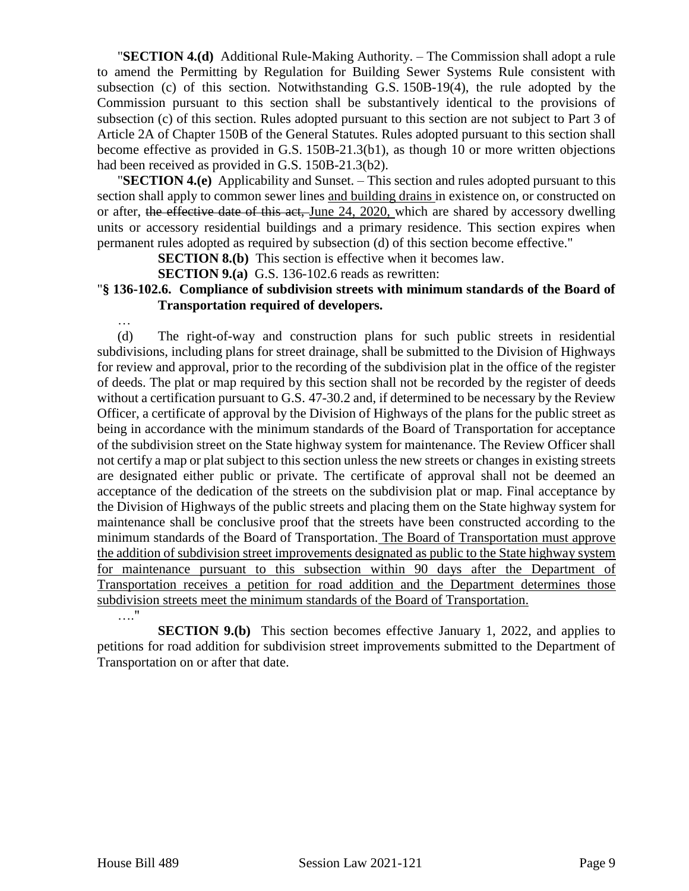"**SECTION 4.(d)** Additional Rule-Making Authority. – The Commission shall adopt a rule to amend the Permitting by Regulation for Building Sewer Systems Rule consistent with subsection (c) of this section. Notwithstanding G.S. 150B-19(4), the rule adopted by the Commission pursuant to this section shall be substantively identical to the provisions of subsection (c) of this section. Rules adopted pursuant to this section are not subject to Part 3 of Article 2A of Chapter 150B of the General Statutes. Rules adopted pursuant to this section shall become effective as provided in G.S. 150B-21.3(b1), as though 10 or more written objections had been received as provided in G.S. 150B-21.3(b2).

"**SECTION 4.(e)** Applicability and Sunset. – This section and rules adopted pursuant to this section shall apply to common sewer lines and building drains in existence on, or constructed on or after, the effective date of this act, June 24, 2020, which are shared by accessory dwelling units or accessory residential buildings and a primary residence. This section expires when permanent rules adopted as required by subsection (d) of this section become effective."

**SECTION 8.(b)** This section is effective when it becomes law.

**SECTION 9.(a)** G.S. 136-102.6 reads as rewritten:

### "**§ 136-102.6. Compliance of subdivision streets with minimum standards of the Board of Transportation required of developers.**

(d) The right-of-way and construction plans for such public streets in residential subdivisions, including plans for street drainage, shall be submitted to the Division of Highways for review and approval, prior to the recording of the subdivision plat in the office of the register of deeds. The plat or map required by this section shall not be recorded by the register of deeds without a certification pursuant to G.S. 47-30.2 and, if determined to be necessary by the Review Officer, a certificate of approval by the Division of Highways of the plans for the public street as being in accordance with the minimum standards of the Board of Transportation for acceptance of the subdivision street on the State highway system for maintenance. The Review Officer shall not certify a map or plat subject to this section unless the new streets or changes in existing streets are designated either public or private. The certificate of approval shall not be deemed an acceptance of the dedication of the streets on the subdivision plat or map. Final acceptance by the Division of Highways of the public streets and placing them on the State highway system for maintenance shall be conclusive proof that the streets have been constructed according to the minimum standards of the Board of Transportation. The Board of Transportation must approve the addition of subdivision street improvements designated as public to the State highway system for maintenance pursuant to this subsection within 90 days after the Department of Transportation receives a petition for road addition and the Department determines those subdivision streets meet the minimum standards of the Board of Transportation.

…."

…

**SECTION 9.(b)** This section becomes effective January 1, 2022, and applies to petitions for road addition for subdivision street improvements submitted to the Department of Transportation on or after that date.